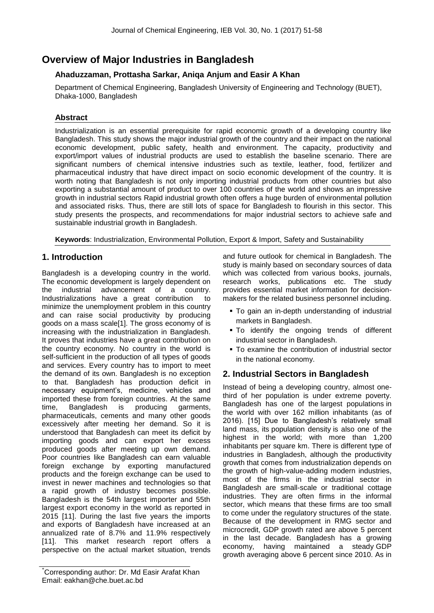# **Overview of Major Industries in Bangladesh**

# **Ahaduzzaman, Prottasha Sarkar, Aniqa Anjum and Easir A Khan**

Department of Chemical Engineering, Bangladesh University of Engineering and Technology (BUET), Dhaka-1000, Bangladesh

# **Abstract**

Industrialization is an essential prerequisite for rapid economic growth of a developing country like Bangladesh. This study shows the major industrial growth of the country and their impact on the national economic development, public safety, health and environment. The capacity, productivity and export/import values of industrial products are used to establish the baseline scenario. There are significant numbers of chemical intensive industries such as textile, leather, food, fertilizer and pharmaceutical industry that have direct impact on socio economic development of the country. It is worth noting that Bangladesh is not only importing industrial products from other countries but also exporting a substantial amount of product to over 100 countries of the world and shows an impressive growth in industrial sectors Rapid industrial growth often offers a huge burden of environmental pollution and associated risks. Thus, there are still lots of space for Bangladesh to flourish in this sector. This study presents the prospects, and recommendations for major industrial sectors to achieve safe and sustainable industrial growth in Bangladesh.

**Keywords**: Industrialization, Environmental Pollution, Export & Import, Safety and Sustainability

# **1. Introduction**

Bangladesh is a developing country in the world. The economic development is largely dependent on the industrial advancement of a country. Industrializations have a great contribution to minimize the unemployment problem in this country and can raise social productivity by producing goods on a mass scale[1]. The gross economy of is increasing with the industrialization in Bangladesh. It proves that industries have a great contribution on the country economy. No country in the world is self-sufficient in the production of all types of goods and services. Every country has to import to meet the demand of its own. Bangladesh is no exception to that. Bangladesh has production deficit in necessary equipment's, medicine, vehicles and imported these from foreign countries. At the same time, Bangladesh is producing garments, pharmaceuticals, cements and many other goods excessively after meeting her demand. So it is understood that Bangladesh can meet its deficit by importing goods and can export her excess produced goods after meeting up own demand. Poor countries like Bangladesh can earn valuable foreign exchange by exporting manufactured products and the foreign exchange can be used to invest in newer machines and technologies so that a rapid growth of industry becomes possible. Bangladesh is the 54th largest importer and 55th largest export economy in the world as reported in 2015 [11]. During the last five years the imports and exports of Bangladesh have increased at an annualized rate of 8.7% and 11.9% respectively [11]. This market research report offers a perspective on the actual market situation, trends

\*Corresponding author: Dr. Md Easir Arafat Khan Email: eakhan@che.buet.ac.bd

and future outlook for chemical in Bangladesh. The study is mainly based on secondary sources of data which was collected from various books, journals, research works, publications etc. The study provides essential market information for decisionmakers for the related business personnel including.

- To gain an in-depth understanding of industrial markets in Bangladesh.
- To identify the ongoing trends of different industrial sector in Bangladesh.
- To examine the contribution of industrial sector in the national economy.

# **2. Industrial Sectors in Bangladesh**

Instead of being a developing country, almost onethird of her population is under extreme poverty. Bangladesh has one of the [largest populations](https://www.statista.com/statistics/262879/countries-with-the-largest-population/) in the world with over 162 million inhabitants (as of 2016). [15] Due to Bangladesh's relatively small land mass, its [population density](https://www.statista.com/statistics/264683/countries-with-the-highest-population-density/) is also one of the highest in the world; with more than 1,200 inhabitants per square km. There is different type of industries in Bangladesh, although the productivity growth that comes from industrialization depends on the growth of high-value-adding modern industries, most of the firms in the industrial sector in Bangladesh are small-scale or traditional cottage industries. They are often firms in the informal sector, which means that these firms are too small to come under the regulatory structures of the state. Because of the development in RMG sector and microcredit, GDP growth rated are above 5 percent in the last decade. Bangladesh has a growing economy, having maintained a steady [GDP](https://www.statista.com/statistics/438214/gross-domestic-product-gdp-growth-rate-in-bangladesh/)  [growth](https://www.statista.com/statistics/438214/gross-domestic-product-gdp-growth-rate-in-bangladesh/) averaging above 6 percent since 2010. As in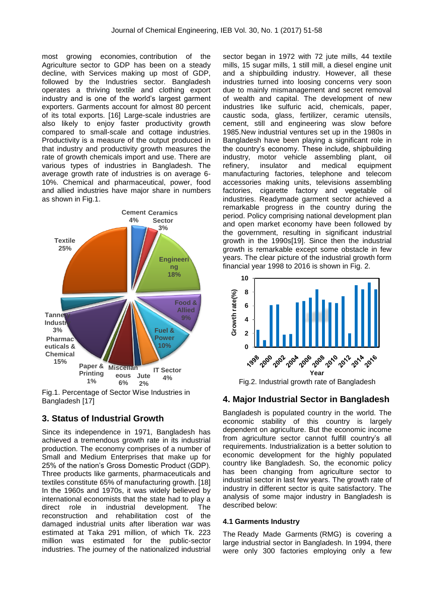most growing economies, [contribution of the](https://www.statista.com/statistics/438359/share-of-economic-sectors-in-the-gdp-in-bangladesh/)  [Agriculture sector to GDP](https://www.statista.com/statistics/438359/share-of-economic-sectors-in-the-gdp-in-bangladesh/) has been on a steady decline, with Services making up most of GDP, followed by the Industries sector. Bangladesh operates a thriving textile and clothing export industry and is one of the world's largest garment exporters. Garments account for almost 80 percent of its total exports. [16] Large-scale industries are also likely to enjoy faster productivity growth compared to small-scale and cottage industries. Productivity is a measure of the output produced in that industry and productivity growth measures the rate of growth chemicals import and use. There are various types of industries in Bangladesh. The average growth rate of industries is on average 6- 10%. Chemical and pharmaceutical, power, food and allied industries have major share in numbers as shown in Fig.1.



Fig.1. Percentage of Sector Wise Industries in Bangladesh [17]

## **3. Status of Industrial Growth**

Since its independence in 1971, Bangladesh has achieved a tremendous growth rate in its industrial production. The economy comprises of a number of Small and Medium Enterprises that make up for 25% of the nation's Gross Domestic Product (GDP). Three products like garments, pharmaceuticals and textiles constitute 65% of manufacturing growth. [18] In the 1960s and 1970s, it was widely believed by international economists that the state had to play a direct role in industrial development. The reconstruction and rehabilitation cost of the damaged industrial units after liberation war was estimated at Taka 291 million, of which Tk. 223 million was estimated for the public-sector industries. The journey of the nationalized industrial sector began in 1972 with 72 jute mills, 44 textile mills, 15 sugar mills, 1 still mill, a diesel engine unit and a shipbuilding industry. However, all these industries turned into loosing concerns very soon due to mainly mismanagement and secret removal of wealth and capital. The development of new industries like sulfuric acid, chemicals, paper, caustic soda, glass, fertilizer, ceramic utensils, cement, still and engineering was slow before 1985.New industrial ventures set up in the 1980s in Bangladesh have been playing a significant role in the country's economy. These include, shipbuilding industry, motor vehicle assembling plant, oil refinery, insulator and medical equipment manufacturing factories, telephone and telecom accessories making units, televisions assembling factories, cigarette factory and vegetable oil industries. Readymade garment sector achieved a remarkable progress in the country during the period. Policy comprising national development plan and open market economy have been followed by the government, resulting in significant industrial growth in the 1990s[19]. Since then the industrial growth is remarkable except some obstacle in few years. The clear picture of the industrial growth form financial year 1998 to 2016 is shown in Fig. 2.



Fig.2. Industrial growth rate of Bangladesh

## **4. Major Industrial Sector in Bangladesh**

Bangladesh is populated country in the world. The economic stability of this country is largely dependent on agriculture. But the economic income from agriculture sector cannot fulfill country's all requirements. Industrialization is a better solution to economic development for the highly populated country like Bangladesh. So, the economic policy has been changing from agriculture sector to industrial sector in last few years. The growth rate of industry in different sector is quite satisfactory. The analysis of some major industry in Bangladesh is described below:

#### **4.1 Garments Industry**

The [Ready Made Garments](https://en.wikipedia.org/wiki/Ready_Made_Garment) (RMG) is covering a large industrial sector in Bangladesh. In 1994, there were only 300 factories employing only a few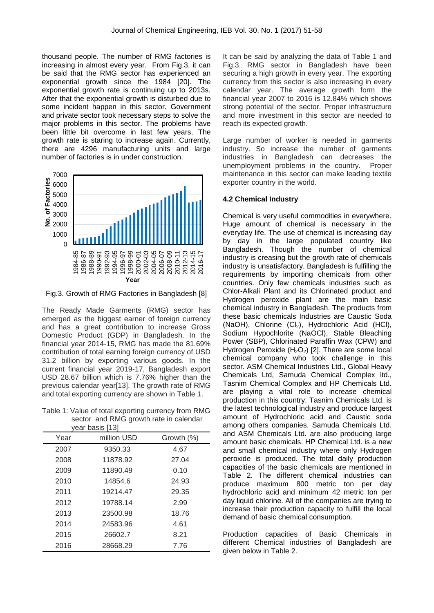thousand people. The number of RMG factories is increasing in almost every year. From Fig.3, it can be said that the RMG sector has experienced an exponential growth since the 1984 [20]. The exponential growth rate is continuing up to 2013s. After that the exponential growth is disturbed due to some incident happen in this sector. Government and private sector took necessary steps to solve the major problems in this sector. The problems have been little bit overcome in last few years. The growth rate is staring to increase again. Currently, there are 4296 manufacturing units and large number of factories is in under construction.



Fig.3. Growth of RMG Factories in Bangladesh [8]

The Ready Made Garments (RMG) sector has emerged as the biggest earner of foreign currency and has a great contribution to increase Gross Domestic Product (GDP) in Bangladesh. In the financial year 2014-15, RMG has made the 81.69% contribution of total earning foreign currency of USD 31.2 billion by exporting various goods. In the current financial year 2019-17, Bangladesh export USD 28.67 billion which is 7.76% higher than the previous calendar year[13]. The growth rate of RMG and total exporting currency are shown in Table 1.

Table 1: Value of total exporting currency from RMG sector and RMG growth rate in calendar

| year basis [13] |                           |       |  |  |
|-----------------|---------------------------|-------|--|--|
| Year            | million USD<br>Growth (%) |       |  |  |
| 2007            | 9350.33                   | 4.67  |  |  |
| 2008            | 11878.92                  | 27.04 |  |  |
| 2009            | 11890.49                  | 0.10  |  |  |
| 2010            | 14854.6                   | 24.93 |  |  |
| 2011            | 19214.47                  | 29.35 |  |  |
| 2012            | 19788.14                  | 2.99  |  |  |
| 2013            | 23500.98                  | 18.76 |  |  |
| 2014            | 24583.96                  | 4.61  |  |  |
| 2015            | 26602.7                   | 8.21  |  |  |
| 2016            | 28668.29                  | 7.76  |  |  |
|                 |                           |       |  |  |

It can be said by analyzing the data of Table 1 and Fig.3, RMG sector in Bangladesh have been securing a high growth in every year. The exporting currency from this sector is also increasing in every calendar year. The average growth form the financial year 2007 to 2016 is 12.84% which shows strong potential of the sector. Proper infrastructure and more investment in this sector are needed to reach its expected growth.

Large number of worker is needed in garments industry. So increase the number of garments industries in Bangladesh can decreases the unemployment problems in the country. Proper maintenance in this sector can make leading textile exporter country in the world.

#### **4.2 Chemical Industry**

Chemical is very useful commodities in everywhere. Huge amount of chemical is necessary in the everyday life. The use of chemical is increasing day by day in the large populated country like Bangladesh. Though the number of chemical industry is creasing but the growth rate of chemicals industry is unsatisfactory. Bangladesh is fulfilling the requirements by importing chemicals from other countries. Only few chemicals industries such as Chlor-Alkali Plant and its Chlorinated product and Hydrogen peroxide plant are the main basic chemical industry in Bangladesh. The products from these basic chemicals Industries are Caustic Soda (NaOH), Chlorine (Cl<sub>2</sub>), Hydrochloric Acid (HCl), Sodium Hypochlorite (NaOCl), Stable Bleaching Power (SBP), Chlorinated Paraffin Wax (CPW) and Hydrogen Peroxide  $(H<sub>2</sub>O<sub>2</sub>)$  [2]. There are some local chemical company who took challenge in this sector. ASM Chemical Industries Ltd., Global Heavy Chemicals Ltd, Samuda Chemical Complex ltd., Tasnim Chemical Complex and HP Chemicals Ltd. are playing a vital role to increase chemical production in this country. Tasnim Chemicals Ltd. is the latest technological industry and produce largest amount of Hydrochloric acid and Caustic soda among others companies. Samuda Chemicals Ltd. and ASM Chemicals Ltd. are also producing large amount basic chemicals. HP Chemical Ltd. is a new and small chemical industry where only Hydrogen peroxide is produced. The total daily production capacities of the basic chemicals are mentioned in Table 2. The different chemical industries can produce maximum 800 metric ton per day hydrochloric acid and minimum 42 metric ton per day liquid chlorine. All of the companies are trying to increase their production capacity to fulfill the local demand of basic chemical consumption.

Production capacities of Basic Chemicals in different Chemical industries of Bangladesh are given below in Table 2.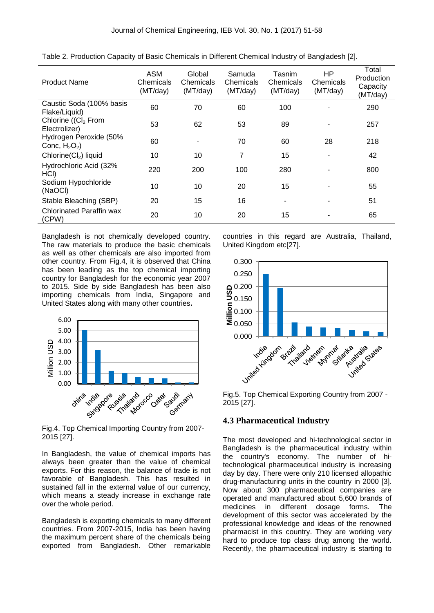| <b>Product Name</b>                              | <b>ASM</b><br>Chemicals<br>(MT/day) | Global<br>Chemicals<br>(MT/day) | Samuda<br>Chemicals<br>(MT/day) | Tasnim<br>Chemicals<br>(MT/day) | HP<br>Chemicals<br>(MT/day) | Total<br>Production<br>Capacity<br>(MT/day) |
|--------------------------------------------------|-------------------------------------|---------------------------------|---------------------------------|---------------------------------|-----------------------------|---------------------------------------------|
| Caustic Soda (100% basis<br>Flake/Liquid)        | 60                                  | 70                              | 60                              | 100                             |                             | 290                                         |
| Chlorine ((Cl <sub>2</sub> From<br>Electrolizer) | 53                                  | 62                              | 53                              | 89                              |                             | 257                                         |
| Hydrogen Peroxide (50%<br>Conc, $H_2O_2$ )       | 60                                  |                                 | 70                              | 60                              | 28                          | 218                                         |
| Chlorine(Cl <sub>2</sub> ) liquid                | 10                                  | 10                              | 7                               | 15                              |                             | 42                                          |
| Hydrochloric Acid (32%<br>HCI)                   | 220                                 | 200                             | 100                             | 280                             |                             | 800                                         |
| Sodium Hypochloride<br>(NaOCI)                   | 10                                  | 10                              | 20                              | 15                              |                             | 55                                          |
| Stable Bleaching (SBP)                           | 20                                  | 15                              | 16                              |                                 |                             | 51                                          |
| <b>Chlorinated Paraffin wax</b><br>(CPW)         | 20                                  | 10                              | 20                              | 15                              |                             | 65                                          |

Table 2. Production Capacity of Basic Chemicals in Different Chemical Industry of Bangladesh [2].

Bangladesh is not chemically developed country. The raw materials to produce the basic chemicals as well as other chemicals are also imported from other country. From Fig.4, it is observed that China has been leading as the top chemical importing country for Bangladesh for the economic year 2007 to 2015. Side by side Bangladesh has been also importing chemicals from India, Singapore and United States along with many other countries**.**



Fig.4. Top Chemical Importing Country from 2007- 2015 [27].

In Bangladesh, the value of chemical imports has always been greater than the value of chemical exports. For this reason, the balance of trade is not favorable of Bangladesh. This has resulted in sustained fall in the external value of our currency, which means a steady increase in exchange rate over the whole period.

Bangladesh is exporting chemicals to many different countries. From 2007-2015, India has been having the maximum percent share of the chemicals being exported from Bangladesh. Other remarkable countries in this regard are Australia, Thailand, United Kingdom etc[27].



Fig.5. Top Chemical Exporting Country from 2007 - 2015 [27].

#### **4.3 Pharmaceutical Industry**

The most developed and hi-technological sector in Bangladesh is the pharmaceutical industry within the country's economy. The number of hitechnological pharmaceutical industry is increasing day by day. There were only 210 licensed allopathic drug-manufacturing units in the country in 2000 [3]. Now about 300 pharmaceutical companies are operated and manufactured about 5,600 brands of medicines in different dosage forms. The development of this sector was accelerated by the professional knowledge and ideas of the renowned pharmacist in this country. They are working very hard to produce top class drug among the world. Recently, the pharmaceutical industry is starting to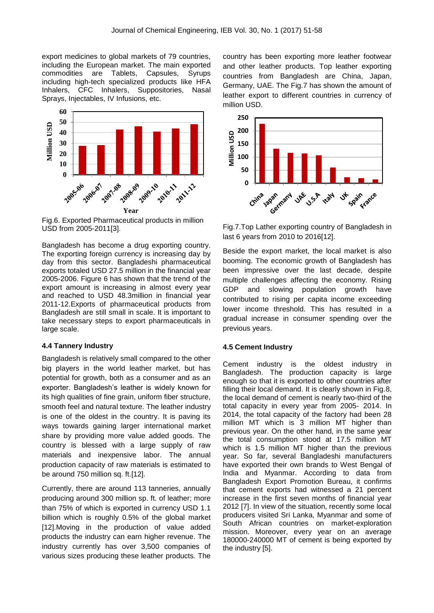export medicines to global markets of 79 countries, including the European market. The main exported commodities are Tablets, Capsules, Syrups including high-tech specialized products like HFA Inhalers, CFC Inhalers, Suppositories, Nasal Sprays, Injectables, IV Infusions, etc.



Fig.6. Exported Pharmaceutical products in million USD from 2005-2011[3].

Bangladesh has become a drug exporting country. The exporting foreign currency is increasing day by day from this sector. Bangladeshi pharmaceutical exports totaled USD 27.5 million in the financial year 2005-2006. Figure 6 has shown that the trend of the export amount is increasing in almost every year and reached to USD 48.3million in financial year 2011-12.Exports of pharmaceutical products from Bangladesh are still small in scale. It is important to take necessary steps to export pharmaceuticals in large scale.

#### **4.4 Tannery Industry**

Bangladesh is relatively small compared to the other big players in the world leather market, but has potential for growth, both as a consumer and as an exporter. Bangladesh's leather is widely known for its high qualities of fine grain, uniform fiber structure, smooth feel and natural texture. The leather industry is one of the oldest in the country. It is paving its ways towards gaining larger international market share by providing more value added goods. The country is blessed with a large supply of raw materials and inexpensive labor. The annual production capacity of raw materials is estimated to be around 750 million sq. ft.[12].

Currently, there are around 113 tanneries, annually producing around 300 million sp. ft. of leather; more than 75% of which is exported in currency USD 1.1 billion which is roughly 0.5% of the global market [12]. Moving in the production of value added products the industry can earn higher revenue. The industry currently has over 3,500 companies of various sizes producing these leather products. The

country has been exporting more leather footwear and other leather products. Top leather exporting countries from Bangladesh are China, Japan, Germany, UAE. The Fig.7 has shown the amount of leather export to different countries in currency of million USD.



Fig.7.Top Lather exporting country of Bangladesh in last 6 years from 2010 to 2016[12].

Beside the export market, the local market is also booming. The economic growth of Bangladesh has been impressive over the last decade, despite multiple challenges affecting the economy. Rising GDP and slowing population growth have contributed to rising per capita income exceeding lower income threshold. This has resulted in a gradual increase in consumer spending over the previous years.

#### **4.5 Cement Industry**

Cement industry is the oldest industry in Bangladesh. The production capacity is large enough so that it is exported to other countries after filling their local demand. It is clearly shown in Fig.8, the local demand of cement is nearly two-third of the total capacity in every year from 2005- 2014. In 2014, the total capacity of the factory had been 28 million MT which is 3 million MT higher than previous year. On the other hand, in the same year the total consumption stood at 17.5 million MT which is 1.5 million MT higher than the previous year. So far, several Bangladeshi manufacturers have exported their own brands to West Bengal of India and Myanmar. According to data from Bangladesh Export Promotion Bureau, it confirms that cement exports had witnessed a 21 percent increase in the first seven months of financial year 2012 [7]. In view of the situation, recently some local producers visited Sri Lanka, Myanmar and some of South African countries on market-exploration mission. Moreover, every year on an average 180000-240000 MT of cement is being exported by the industry [5].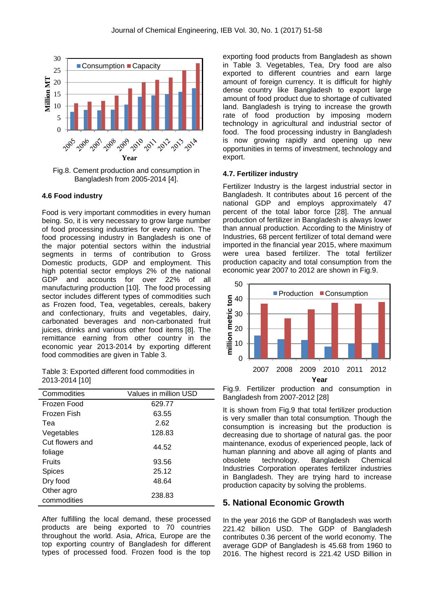

Fig.8. Cement production and consumption in Bangladesh from 2005-2014 [4].

#### **4.6 Food industry**

Food is very important commodities in every human being. So, it is very necessary to grow large number of food processing industries for every nation. The food processing industry in Bangladesh is one of the major potential sectors within the industrial segments in terms of contribution to Gross Domestic products, GDP and employment. This high potential sector employs 2% of the national GDP and accounts for over 22% of all manufacturing production [10]. The food processing sector includes different types of commodities such as Frozen food, Tea, vegetables, cereals, bakery and confectionary, fruits and vegetables, dairy, carbonated beverages and non-carbonated fruit juices, drinks and various other food items [8]. The remittance earning from other country in the economic year 2013-2014 by exporting different food commodities are given in Table 3.

Table 3: Exported different food commodities in 2013-2014 [10]

| Commodities     | Values in million USD |  |  |  |
|-----------------|-----------------------|--|--|--|
| Frozen Food     | 629.77                |  |  |  |
| Frozen Fish     | 63.55                 |  |  |  |
| Теа             | 2.62                  |  |  |  |
| Vegetables      | 128.83                |  |  |  |
| Cut flowers and |                       |  |  |  |
| foliage         | 44.52                 |  |  |  |
| Fruits          | 93.56                 |  |  |  |
| Spices          | 25.12                 |  |  |  |
| Dry food        | 48.64                 |  |  |  |
| Other agro      | 238.83                |  |  |  |
| commodities     |                       |  |  |  |

After fulfilling the local demand, these processed products are being exported to 70 countries throughout the world. Asia, Africa, Europe are the top exporting country of Bangladesh for different types of processed food. Frozen food is the top

exporting food products from Bangladesh as shown in Table 3. Vegetables, Tea, Dry food are also exported to different countries and earn large amount of foreign currency. It is difficult for highly dense country like Bangladesh to export large amount of food product due to shortage of cultivated land. Bangladesh is trying to increase the growth rate of food production by imposing modern technology in agricultural and industrial sector of food. The food processing industry in Bangladesh is now growing rapidly and opening up new opportunities in terms of investment, technology and export.

#### **4.7. Fertilizer industry**

Fertilizer Industry is the largest industrial sector in Bangladesh. It contributes about 16 percent of the national GDP and employs approximately 47 percent of the total labor force [28]. The annual production of fertilizer in Bangladesh is always lower than annual production. According to the Ministry of Industries, 68 percent fertilizer of total demand were imported in the financial year 2015, where maximum were urea based fertilizer. The total fertilizer production capacity and total consumption from the economic year 2007 to 2012 are shown in Fig.9.



Fig.9. Fertilizer production and consumption in Bangladesh from 2007-2012 [28]

It is shown from Fig.9 that total fertilizer production is very smaller than total consumption. Though the consumption is increasing but the production is decreasing due to shortage of natural gas. the poor maintenance, exodus of experienced people, lack of human planning and above all aging of plants and obsolete technology. Bangladesh Chemical Industries Corporation operates fertilizer industries in Bangladesh. They are trying hard to increase production capacity by solving the problems.

#### **5. National Economic Growth**

In the year 2016 the GDP of Bangladesh was worth 221.42 billion USD. The GDP of Bangladesh contributes 0.36 percent of the world economy. The average GDP of Bangladesh is 45.68 from 1960 to 2016. The highest record is 221.42 USD Billion in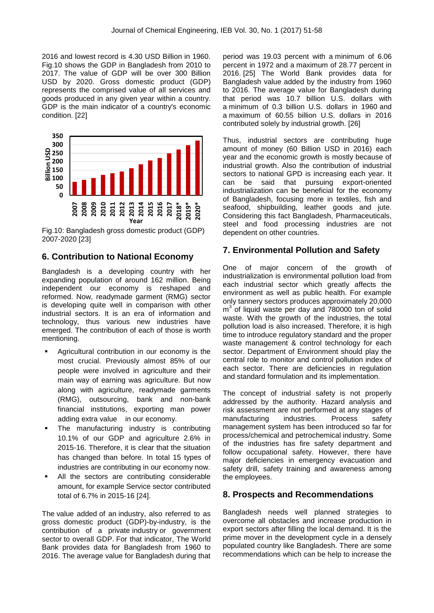2016 and lowest record is 4.30 USD Billion in 1960. Fig.10 shows the GDP in Bangladesh from 2010 to 2017. The value of GDP will be over 300 Billion USD by 2020. Gross domestic product (GDP) represents the comprised value of all services and goods produced in any given year within a country. GDP is the main indicator of a country's economic condition. [22]



Fig.10: Bangladesh gross domestic product (GDP) 2007-2020 [23]

# **6. Contribution to National Economy**

Bangladesh is a developing country with her expanding population of around 162 million. Being independent our economy is reshaped and reformed. Now, readymade garment (RMG) sector is developing quite well in comparison with other industrial sectors. It is an era of information and technology, thus various new industries have emerged. The contribution of each of those is worth mentioning.

- Agricultural contribution in our economy is the most crucial. Previously almost 85% of our people were involved in agriculture and their main way of earning was agriculture. But now along with agriculture, readymade garments (RMG), outsourcing, bank and non-bank financial institutions, exporting man power adding extra value in our economy.
- The manufacturing industry is contributing 10.1% of our GDP and agriculture 2.6% in 2015-16. Therefore, it is clear that the situation has changed than before. In total 15 types of industries are contributing in our economy now.
- All the sectors are contributing considerable amount, for example Service sector contributed total of 6.7% in 2015-16 [24].

The value added of an industry, also referred to as gross domestic product (GDP)-by-industry, is the contribution of a private industry or government sector to overall GDP. For that indicator, The World Bank provides data for Bangladesh from 1960 to 2016. The average value for Bangladesh during that period was 19.03 percent with a minimum of 6.06 percent in 1972 and a maximum of 28.77 percent in 2016. [25] The World Bank provides data for Bangladesh value added by the industry from 1960 to 2016. The average value for Bangladesh during that period was 10.7 billion U.S. dollars with a minimum of 0.3 billion U.S. dollars in 1960 and a maximum of 60.55 billion U.S. dollars in 2016 contributed solely by industrial growth. [26]

Thus, industrial sectors are contributing huge amount of money (60 Billion USD in 2016) each year and the economic growth is mostly because of industrial growth. Also the contribution of industrial sectors to national GPD is increasing each year. It can be said that pursuing export-oriented industrialization can be beneficial for the economy of Bangladesh, focusing more in textiles, fish and seafood, shipbuilding, leather goods and jute. Considering this fact Bangladesh, Pharmaceuticals, steel and food processing industries are not dependent on other countries.

# **7. Environmental Pollution and Safety**

One of major concern of the growth of industrialization is environmental pollution load from each industrial sector which greatly affects the environment as well as public health. For example only tannery sectors produces approximately 20,000 m<sup>3</sup> of liquid waste per day and 780000 ton of solid waste. With the growth of the industries, the total pollution load is also increased. Therefore, it is high time to introduce regulatory standard and the proper waste management & control technology for each sector. Department of Environment should play the central role to monitor and control pollution index of each sector. There are deficiencies in regulation and standard formulation and its implementation.

The concept of industrial safety is not properly addressed by the authority. Hazard analysis and risk assessment are not performed at any stages of manufacturing industries. Process safety management system has been introduced so far for process/chemical and petrochemical industry. Some of the industries has fire safety department and follow occupational safety. However, there have major deficiencies in emergency evacuation and safety drill, safety training and awareness among the employees.

## **8. Prospects and Recommendations**

Bangladesh needs well planned strategies to overcome all obstacles and increase production in export sectors after filling the local demand. It is the prime mover in the development cycle in a densely populated country like Bangladesh. There are some recommendations which can be help to increase the